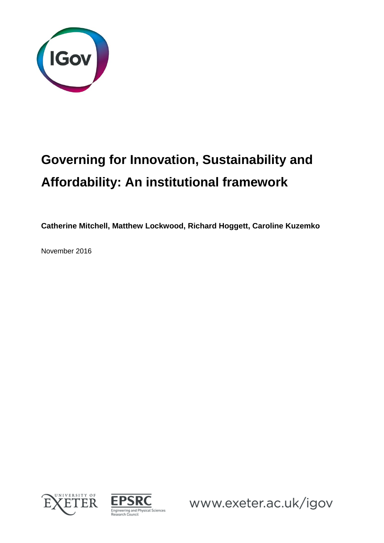

# **Governing for Innovation, Sustainability and Affordability: An institutional framework**

**Catherine Mitchell, Matthew Lockwood, Richard Hoggett, Caroline Kuzemko**

November 2016





www.exeter.ac.uk/igov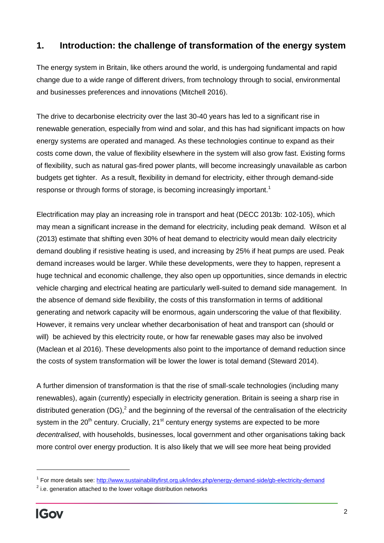## **1. Introduction: the challenge of transformation of the energy system**

The energy system in Britain, like others around the world, is undergoing fundamental and rapid change due to a wide range of different drivers, from technology through to social, environmental and businesses preferences and innovations (Mitchell 2016).

The drive to decarbonise electricity over the last 30-40 years has led to a significant rise in renewable generation, especially from wind and solar, and this has had significant impacts on how energy systems are operated and managed. As these technologies continue to expand as their costs come down, the value of flexibility elsewhere in the system will also grow fast. Existing forms of flexibility, such as natural gas-fired power plants, will become increasingly unavailable as carbon budgets get tighter. As a result, flexibility in demand for electricity, either through demand-side response or through forms of storage, is becoming increasingly important.<sup>1</sup>

Electrification may play an increasing role in transport and heat (DECC 2013b: 102-105), which may mean a significant increase in the demand for electricity, including peak demand. Wilson et al (2013) estimate that shifting even 30% of heat demand to electricity would mean daily electricity demand doubling if resistive heating is used, and increasing by 25% if heat pumps are used. Peak demand increases would be larger. While these developments, were they to happen, represent a huge technical and economic challenge, they also open up opportunities, since demands in electric vehicle charging and electrical heating are particularly well-suited to demand side management. In the absence of demand side flexibility, the costs of this transformation in terms of additional generating and network capacity will be enormous, again underscoring the value of that flexibility. However, it remains very unclear whether decarbonisation of heat and transport can (should or will) be achieved by this electricity route, or how far renewable gases may also be involved (Maclean et al 2016). These developments also point to the importance of demand reduction since the costs of system transformation will be lower the lower is total demand (Steward 2014).

A further dimension of transformation is that the rise of small-scale technologies (including many renewables), again (currently) especially in electricity generation. Britain is seeing a sharp rise in distributed generation (DG),<sup>2</sup> and the beginning of the reversal of the centralisation of the electricity system in the  $20<sup>th</sup>$  century. Crucially,  $21<sup>st</sup>$  century energy systems are expected to be more *decentralised*, with households, businesses, local government and other organisations taking back more control over energy production. It is also likely that we will see more heat being provided

<sup>&</sup>lt;sup>1</sup> For more details see[: http://www.sustainabilityfirst.org.uk/index.php/energy-demand-side/gb-electricity-demand](http://www.sustainabilityfirst.org.uk/index.php/energy-demand-side/gb-electricity-demand)

 $2$  i.e. generation attached to the lower voltage distribution networks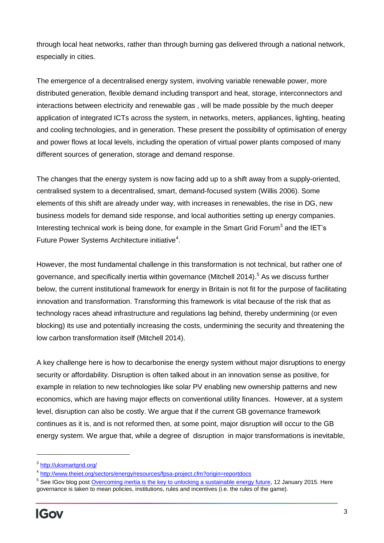through local heat networks, rather than through burning gas delivered through a national network, especially in cities.

The emergence of a decentralised energy system, involving variable renewable power, more distributed generation, flexible demand including transport and heat, storage, interconnectors and interactions between electricity and renewable gas , will be made possible by the much deeper application of integrated ICTs across the system, in networks, meters, appliances, lighting, heating and cooling technologies, and in generation. These present the possibility of optimisation of energy and power flows at local levels, including the operation of virtual power plants composed of many different sources of generation, storage and demand response.

The changes that the energy system is now facing add up to a shift away from a supply-oriented, centralised system to a decentralised, smart, demand-focused system (Willis 2006). Some elements of this shift are already under way, with increases in renewables, the rise in DG, new business models for demand side response, and local authorities setting up energy companies. Interesting technical work is being done, for example in the Smart Grid Forum<sup>3</sup> and the IET's Future Power Systems Architecture initiative<sup>4</sup>.

However, the most fundamental challenge in this transformation is not technical, but rather one of governance, and specifically inertia within governance (Mitchell 2014).<sup>5</sup> As we discuss further below, the current institutional framework for energy in Britain is not fit for the purpose of facilitating innovation and transformation. Transforming this framework is vital because of the risk that as technology races ahead infrastructure and regulations lag behind, thereby undermining (or even blocking) its use and potentially increasing the costs, undermining the security and threatening the low carbon transformation itself (Mitchell 2014).

A key challenge here is how to decarbonise the energy system without major disruptions to energy security or affordability. Disruption is often talked about in an innovation sense as positive, for example in relation to new technologies like solar PV enabling new ownership patterns and new economics, which are having major effects on conventional utility finances. However, at a system level, disruption can also be costly. We argue that if the current GB governance framework continues as it is, and is not reformed then, at some point, major disruption will occur to the GB energy system. We argue that, while a degree of disruption in major transformations is inevitable,

<sup>&</sup>lt;sup>3</sup><http://uksmartgrid.org/>

<sup>&</sup>lt;sup>4</sup> <http://www.theiet.org/sectors/energy/resources/fpsa-project.cfm?origin=reportdocs>

<sup>&</sup>lt;sup>5</sup> See IGov blog post <u>Overcoming inertia is the key to unlocking a sustainable energy future</u>, 12 January 2015. Here governance is taken to mean policies, institutions, rules and incentives (i.e. the rules of the game).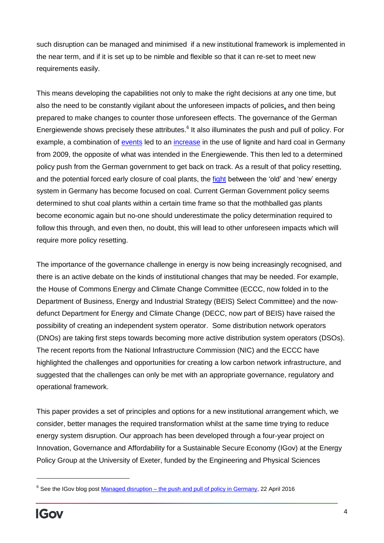such disruption can be managed and minimised if a new institutional framework is implemented in the near term, and if it is set up to be nimble and flexible so that it can re-set to meet new requirements easily.

This means developing the capabilities not only to make the right decisions at any one time, but also the need to be constantly vigilant about the unforeseen impacts of policies, and then being prepared to make changes to counter those unforeseen effects. The governance of the German Energiewende shows precisely these attributes.<sup>6</sup> It also illuminates the push and pull of policy. For example, a combination of [events](http://www.orfonline.org/cms/sites/orfonline/modules/enm-analysis/ENM-ANALYSISDetail.html?cmaid=58145&mmacmaid=58146) led to an [increase](http://www.agora-energiewende.org/fileadmin/downloads/publikationen/Analysen/Trends_im_deutschen_Stromsektor/Analysis_Energiewende_Paradox_web_EN.pdf) in the use of lignite and hard coal in Germany from 2009, the opposite of what was intended in the Energiewende. This then led to a determined policy push from the German government to get back on track. As a result of that policy resetting, and the potential forced early closure of coal plants, the [fight](http://www.theguardian.com/environment/2015/apr/14/german-backlash-grows-against-coal-power-clampdown) between the 'old' and 'new' energy system in Germany has become focused on coal. Current German Government policy seems determined to shut coal plants within a certain time frame so that the mothballed gas plants become economic again but no-one should underestimate the policy determination required to follow this through, and even then, no doubt, this will lead to other unforeseen impacts which will require more policy resetting.

The importance of the governance challenge in energy is now being increasingly recognised, and there is an active debate on the kinds of institutional changes that may be needed. For example, the House of Commons Energy and Climate Change Committee (ECCC, now folded in to the Department of Business, Energy and Industrial Strategy (BEIS) Select Committee) and the nowdefunct Department for Energy and Climate Change (DECC, now part of BEIS) have raised the possibility of creating an independent system operator. Some distribution network operators (DNOs) are taking first steps towards becoming more active distribution system operators (DSOs). The recent reports from the National Infrastructure Commission (NIC) and the ECCC have highlighted the challenges and opportunities for creating a low carbon network infrastructure, and suggested that the challenges can only be met with an appropriate governance, regulatory and operational framework.

This paper provides a set of principles and options for a new institutional arrangement which, we consider, better manages the required transformation whilst at the same time trying to reduce energy system disruption. Our approach has been developed through a four-year project on Innovation, Governance and Affordability for a Sustainable Secure Economy (IGov) at the Energy Policy Group at the University of Exeter, funded by the Engineering and Physical Sciences

<sup>&</sup>lt;sup>6</sup> See the IGov blog post Managed disruption – [the push and pull of policy in Germany,](http://projects.exeter.ac.uk/igov/new-thinking-managed-disruption-the-push-and-pull-of-policy-in-germany/) 22 April 2016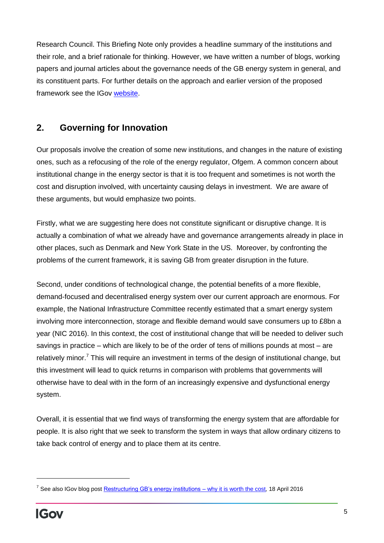Research Council. This Briefing Note only provides a headline summary of the institutions and their role, and a brief rationale for thinking. However, we have written a number of blogs, working papers and journal articles about the governance needs of the GB energy system in general, and its constituent parts. For further details on the approach and earlier version of the proposed framework see the IGov [website.](http://projects.exeter.ac.uk/igov/)

# **2. Governing for Innovation**

Our proposals involve the creation of some new institutions, and changes in the nature of existing ones, such as a refocusing of the role of the energy regulator, Ofgem. A common concern about institutional change in the energy sector is that it is too frequent and sometimes is not worth the cost and disruption involved, with uncertainty causing delays in investment. We are aware of these arguments, but would emphasize two points.

Firstly, what we are suggesting here does not constitute significant or disruptive change. It is actually a combination of what we already have and governance arrangements already in place in other places, such as Denmark and New York State in the US. Moreover, by confronting the problems of the current framework, it is saving GB from greater disruption in the future.

Second, under conditions of technological change, the potential benefits of a more flexible, demand-focused and decentralised energy system over our current approach are enormous. For example, the National Infrastructure Committee recently estimated that a smart energy system involving more interconnection, storage and flexible demand would save consumers up to £8bn a year (NIC 2016). In this context, the cost of institutional change that will be needed to deliver such savings in practice – which are likely to be of the order of tens of millions pounds at most – are relatively minor.<sup>7</sup> This will require an investment in terms of the design of institutional change, but this investment will lead to quick returns in comparison with problems that governments will otherwise have to deal with in the form of an increasingly expensive and dysfunctional energy system.

Overall, it is essential that we find ways of transforming the energy system that are affordable for people. It is also right that we seek to transform the system in ways that allow ordinary citizens to take back control of energy and to place them at its centre.

<sup>&</sup>lt;sup>7</sup> See also IGov blog post <u>Restructuring GB's energy institutions – why it is worth the cost</u>, 18 April 2016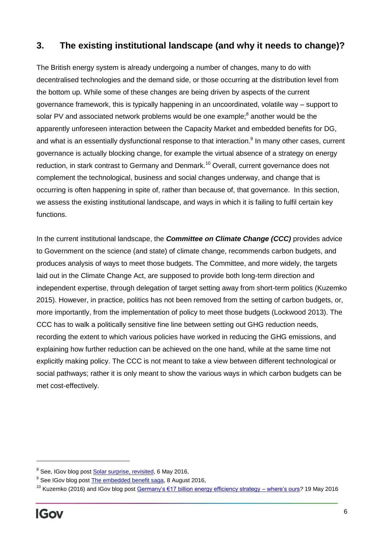## **3. The existing institutional landscape (and why it needs to change)?**

The British energy system is already undergoing a number of changes, many to do with decentralised technologies and the demand side, or those occurring at the distribution level from the bottom up. While some of these changes are being driven by aspects of the current governance framework, this is typically happening in an uncoordinated, volatile way – support to solar PV and associated network problems would be one example;<sup>8</sup> another would be the apparently unforeseen interaction between the Capacity Market and embedded benefits for DG, and what is an essentially dysfunctional response to that interaction.<sup>9</sup> In many other cases, current governance is actually blocking change, for example the virtual absence of a strategy on energy reduction, in stark contrast to Germany and Denmark.<sup>10</sup> Overall, current governance does not complement the technological, business and social changes underway, and change that is occurring is often happening in spite of, rather than because of, that governance. In this section, we assess the existing institutional landscape, and ways in which it is failing to fulfil certain key functions.

In the current institutional landscape, the *Committee on Climate Change (CCC)* provides advice to Government on the science (and state) of climate change, recommends carbon budgets, and produces analysis of ways to meet those budgets. The Committee, and more widely, the targets laid out in the Climate Change Act, are supposed to provide both long-term direction and independent expertise, through delegation of target setting away from short-term politics (Kuzemko 2015). However, in practice, politics has not been removed from the setting of carbon budgets, or, more importantly, from the implementation of policy to meet those budgets (Lockwood 2013). The CCC has to walk a politically sensitive fine line between setting out GHG reduction needs, recording the extent to which various policies have worked in reducing the GHG emissions, and explaining how further reduction can be achieved on the one hand, while at the same time not explicitly making policy. The CCC is not meant to take a view between different technological or social pathways; rather it is only meant to show the various ways in which carbon budgets can be met cost-effectively.

<sup>&</sup>lt;sup>8</sup> See, IGov blog post **Solar surprise, revisited**, 6 May 2016,

<sup>&</sup>lt;sup>9</sup> See IGov blog pos[t The embedded benefit saga,](http://projects.exeter.ac.uk/igov/new-thinking-the-embedded-benefit-saga/) 8 August 2016,

<sup>10</sup> Kuzemko (2016) and IGov blog post [Germany's €17 billion energy efficiency strategy –](http://projects.exeter.ac.uk/igov/new-thinking-germanys-e17bn-energy-efficiency-strategy-wheres-ours/) where's ours*?* 19 May 2016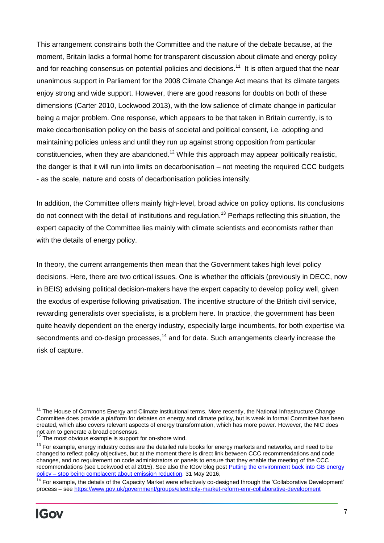This arrangement constrains both the Committee and the nature of the debate because, at the moment, Britain lacks a formal home for transparent discussion about climate and energy policy and for reaching consensus on potential policies and decisions.<sup>11</sup> It is often argued that the near unanimous support in Parliament for the 2008 Climate Change Act means that its climate targets enjoy strong and wide support. However, there are good reasons for doubts on both of these dimensions (Carter 2010, Lockwood 2013), with the low salience of climate change in particular being a major problem. One response, which appears to be that taken in Britain currently, is to make decarbonisation policy on the basis of societal and political consent, i.e. adopting and maintaining policies unless and until they run up against strong opposition from particular constituencies, when they are abandoned.<sup>12</sup> While this approach may appear politically realistic, the danger is that it will run into limits on decarbonisation – not meeting the required CCC budgets - as the scale, nature and costs of decarbonisation policies intensify.

In addition, the Committee offers mainly high-level, broad advice on policy options. Its conclusions do not connect with the detail of institutions and regulation.<sup>13</sup> Perhaps reflecting this situation, the expert capacity of the Committee lies mainly with climate scientists and economists rather than with the details of energy policy.

In theory, the current arrangements then mean that the Government takes high level policy decisions. Here, there are two critical issues. One is whether the officials (previously in DECC, now in BEIS) advising political decision-makers have the expert capacity to develop policy well, given the exodus of expertise following privatisation. The incentive structure of the British civil service, rewarding generalists over specialists, is a problem here. In practice, the government has been quite heavily dependent on the energy industry, especially large incumbents, for both expertise via secondments and  $\rm co$ -design processes,<sup>14</sup> and for data. Such arrangements clearly increase the risk of capture.

<sup>&</sup>lt;sup>11</sup> The House of Commons Energy and Climate institutional terms. More recently, the National Infrastructure Change Committee does provide a platform for debates on energy and climate policy, but is weak in formal Committee has been created, which also covers relevant aspects of energy transformation, which has more power. However, the NIC does not aim to generate a broad consensus.

 $12$  The most obvious example is support for on-shore wind.

<sup>&</sup>lt;sup>13</sup> For example, energy industry codes are the detailed rule books for energy markets and networks, and need to be changed to reflect policy objectives, but at the moment there is direct link between CCC recommendations and code changes, and no requirement on code administrators or panels to ensure that they enable the meeting of the CCC recommendations (see Lockwood et al 2015). See also the IGov blog post [Putting the environment back into GB energy](http://projects.exeter.ac.uk/igov/new-thinking-putting-the-environment-back-in-gb-energy-policy-stop-being-complacent-about-emission-reduction/)  policy – [stop being complacent about emission reduction,](http://projects.exeter.ac.uk/igov/new-thinking-putting-the-environment-back-in-gb-energy-policy-stop-being-complacent-about-emission-reduction/) 31 May 2016,

<sup>&</sup>lt;sup>14</sup> For example, the details of the Capacity Market were effectively co-designed through the 'Collaborative Development' process – see<https://www.gov.uk/government/groups/electricity-market-reform-emr-collaborative-development>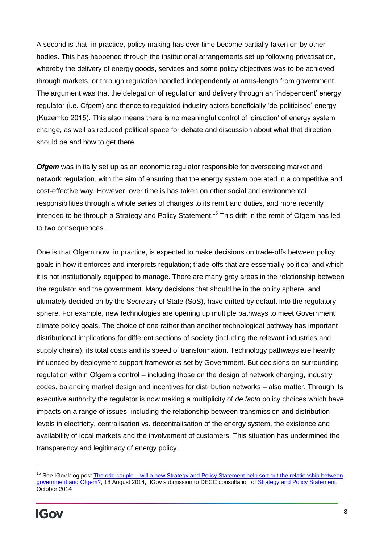A second is that, in practice, policy making has over time become partially taken on by other bodies. This has happened through the institutional arrangements set up following privatisation, whereby the delivery of energy goods, services and some policy objectives was to be achieved through markets, or through regulation handled independently at arms-length from government. The argument was that the delegation of regulation and delivery through an 'independent' energy regulator (i.e. Ofgem) and thence to regulated industry actors beneficially 'de-politicised' energy (Kuzemko 2015). This also means there is no meaningful control of 'direction' of energy system change, as well as reduced political space for debate and discussion about what that direction should be and how to get there.

*Ofgem* was initially set up as an economic regulator responsible for overseeing market and network regulation, with the aim of ensuring that the energy system operated in a competitive and cost-effective way. However, over time is has taken on other social and environmental responsibilities through a whole series of changes to its remit and duties, and more recently intended to be through a Strategy and Policy Statement.<sup>15</sup> This drift in the remit of Ofgem has led to two consequences.

One is that Ofgem now, in practice, is expected to make decisions on trade-offs between policy goals in how it enforces and interprets regulation; trade-offs that are essentially political and which it is not institutionally equipped to manage. There are many grey areas in the relationship between the regulator and the government. Many decisions that should be in the policy sphere, and ultimately decided on by the Secretary of State (SoS), have drifted by default into the regulatory sphere. For example, new technologies are opening up multiple pathways to meet Government climate policy goals. The choice of one rather than another technological pathway has important distributional implications for different sections of society (including the relevant industries and supply chains), its total costs and its speed of transformation. Technology pathways are heavily influenced by deployment support frameworks set by Government. But decisions on surrounding regulation within Ofgem's control – including those on the design of network charging, industry codes, balancing market design and incentives for distribution networks – also matter. Through its executive authority the regulator is now making a multiplicity of *de facto* policy choices which have impacts on a range of issues, including the relationship between transmission and distribution levels in electricity, centralisation vs. decentralisation of the energy system, the existence and availability of local markets and the involvement of customers. This situation has undermined the transparency and legitimacy of energy policy.

<sup>&</sup>lt;sup>15</sup> See IGov blog post The odd couple – will a new Strategy and Policy Statement help sort out the relationship between [government and Ofgem?,](http://projects.exeter.ac.uk/igov/new-thinking-the-odd-couple-will-a-new-strategy-and-policy-statement-help-sort-out-the-relationship-between-government-and-ofgem/) 18 August 2014,; IGov submission to DECC consultation of [Strategy and Policy Statement,](http://projects.exeter.ac.uk/igov/submission-to-decc-consultation-on-the-draft-strategy-and-policy-statement/) October 2014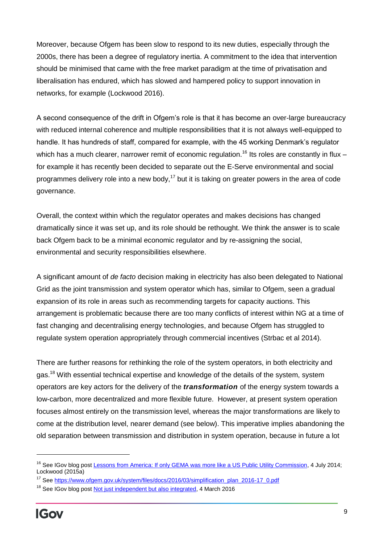Moreover, because Ofgem has been slow to respond to its new duties, especially through the 2000s, there has been a degree of regulatory inertia. A commitment to the idea that intervention should be minimised that came with the free market paradigm at the time of privatisation and liberalisation has endured, which has slowed and hampered policy to support innovation in networks, for example (Lockwood 2016).

A second consequence of the drift in Ofgem's role is that it has become an over-large bureaucracy with reduced internal coherence and multiple responsibilities that it is not always well-equipped to handle. It has hundreds of staff, compared for example, with the 45 working Denmark's regulator which has a much clearer, narrower remit of economic regulation.<sup>16</sup> Its roles are constantly in flux – for example it has recently been decided to separate out the E-Serve environmental and social programmes delivery role into a new body,<sup>17</sup> but it is taking on greater powers in the area of code governance.

Overall, the context within which the regulator operates and makes decisions has changed dramatically since it was set up, and its role should be rethought. We think the answer is to scale back Ofgem back to be a minimal economic regulator and by re-assigning the social, environmental and security responsibilities elsewhere.

A significant amount of *de facto* decision making in electricity has also been delegated to National Grid as the joint transmission and system operator which has, similar to Ofgem, seen a gradual expansion of its role in areas such as recommending targets for capacity auctions. This arrangement is problematic because there are too many conflicts of interest within NG at a time of fast changing and decentralising energy technologies, and because Ofgem has struggled to regulate system operation appropriately through commercial incentives (Strbac et al 2014).

There are further reasons for rethinking the role of the system operators, in both electricity and gas.<sup>18</sup> With essential technical expertise and knowledge of the details of the system, system operators are key actors for the delivery of the *transformation* of the energy system towards a low-carbon, more decentralized and more flexible future. However, at present system operation focuses almost entirely on the transmission level, whereas the major transformations are likely to come at the distribution level, nearer demand (see below). This imperative implies abandoning the old separation between transmission and distribution in system operation, because in future a lot

<sup>&</sup>lt;sup>16</sup> See IGov blog post [Lessons from America: If only GEMA was more like a US Public Utility Commission,](http://projects.exeter.ac.uk/igov/lessons-from-america-if-only-the-gema-was-more-like-a-us-public-utility-commission/) 4 July 2014; Lockwood (2015a)

<sup>&</sup>lt;sup>17</sup> See [https://www.ofgem.gov.uk/system/files/docs/2016/03/simplification\\_plan\\_2016-17\\_0.pdf](https://www.ofgem.gov.uk/system/files/docs/2016/03/simplification_plan_2016-17_0.pdf)

<sup>&</sup>lt;sup>18</sup> See IGov blog post [Not just independent but also integrated,](http://projects.exeter.ac.uk/igov/new-thinking-not-just-independent-but-also-integrated/) 4 March 2016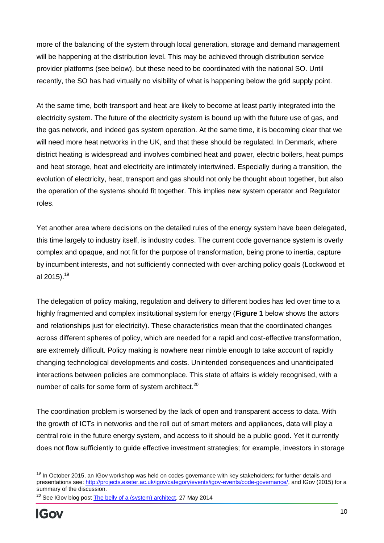more of the balancing of the system through local generation, storage and demand management will be happening at the distribution level. This may be achieved through distribution service provider platforms (see below), but these need to be coordinated with the national SO. Until recently, the SO has had virtually no visibility of what is happening below the grid supply point.

At the same time, both transport and heat are likely to become at least partly integrated into the electricity system. The future of the electricity system is bound up with the future use of gas, and the gas network, and indeed gas system operation. At the same time, it is becoming clear that we will need more heat networks in the UK, and that these should be regulated. In Denmark, where district heating is widespread and involves combined heat and power, electric boilers, heat pumps and heat storage, heat and electricity are intimately intertwined. Especially during a transition, the evolution of electricity, heat, transport and gas should not only be thought about together, but also the operation of the systems should fit together. This implies new system operator and Regulator roles.

Yet another area where decisions on the detailed rules of the energy system have been delegated, this time largely to industry itself, is industry codes. The current code governance system is overly complex and opaque, and not fit for the purpose of transformation, being prone to inertia, capture by incumbent interests, and not sufficiently connected with over-arching policy goals (Lockwood et al 2015).<sup>19</sup>

The delegation of policy making, regulation and delivery to different bodies has led over time to a highly fragmented and complex institutional system for energy (**Figure 1** below shows the actors and relationships just for electricity). These characteristics mean that the coordinated changes across different spheres of policy, which are needed for a rapid and cost-effective transformation, are extremely difficult. Policy making is nowhere near nimble enough to take account of rapidly changing technological developments and costs. Unintended consequences and unanticipated interactions between policies are commonplace. This state of affairs is widely recognised, with a number of calls for some form of system architect.<sup>20</sup>

The coordination problem is worsened by the lack of open and transparent access to data. With the growth of ICTs in networks and the roll out of smart meters and appliances, data will play a central role in the future energy system, and access to it should be a public good. Yet it currently does not flow sufficiently to guide effective investment strategies; for example, investors in storage

<sup>&</sup>lt;sup>19</sup> In October 2015, an IGov workshop was held on codes governance with key stakeholders; for further details and presentations see[: http://projects.exeter.ac.uk/igov/category/events/igov-events/code-governance/,](http://projects.exeter.ac.uk/igov/category/events/igov-events/code-governance/) and IGov (2015) for a summary of the discussion.

 $20$  See IGov blog post [The belly of a \(system\) architect,](http://projects.exeter.ac.uk/igov/the-belly-of-a-system-architect/) 27 May 2014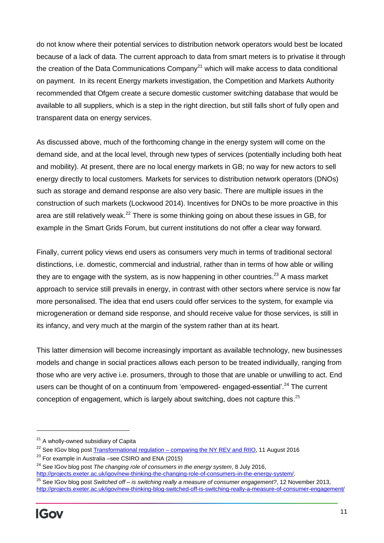do not know where their potential services to distribution network operators would best be located because of a lack of data. The current approach to data from smart meters is to privatise it through the creation of the Data Communications Company<sup>21</sup> which will make access to data conditional on payment. In its recent Energy markets investigation, the Competition and Markets Authority recommended that Ofgem create a secure domestic customer switching database that would be available to all suppliers, which is a step in the right direction, but still falls short of fully open and transparent data on energy services.

As discussed above, much of the forthcoming change in the energy system will come on the demand side, and at the local level, through new types of services (potentially including both heat and mobility). At present, there are no local energy markets in GB; no way for new actors to sell energy directly to local customers. Markets for services to distribution network operators (DNOs) such as storage and demand response are also very basic. There are multiple issues in the construction of such markets (Lockwood 2014). Incentives for DNOs to be more proactive in this area are still relatively weak.<sup>22</sup> There is some thinking going on about these issues in GB, for example in the Smart Grids Forum, but current institutions do not offer a clear way forward.

Finally, current policy views end users as consumers very much in terms of traditional sectoral distinctions, i.e. domestic, commercial and industrial, rather than in terms of how able or willing they are to engage with the system, as is now happening in other countries.<sup>23</sup> A mass market approach to service still prevails in energy, in contrast with other sectors where service is now far more personalised. The idea that end users could offer services to the system, for example via microgeneration or demand side response, and should receive value for those services, is still in its infancy, and very much at the margin of the system rather than at its heart.

This latter dimension will become increasingly important as available technology, new businesses models and change in social practices allows each person to be treated individually, ranging from those who are very active i.e. prosumers, through to those that are unable or unwilling to act. End users can be thought of on a continuum from 'empowered- engaged-essential'.<sup>24</sup> The current conception of engagement, which is largely about switching, does not capture this.<sup>25</sup>

 $21$  A wholly-owned subsidiary of Capita

<sup>&</sup>lt;sup>22</sup> See IGov blog post Transformational regulation – [comparing the NY REV and RIIO,](http://projects.exeter.ac.uk/igov/new-thinking-transformational-regulation-comparing-the-ny-rev-riio/) 11 August 2016

 $23$  For example in Australia –see CSIRO and ENA (2015)

<sup>24</sup> See IGov blog post *The changing role of consumers in the energy system*, 8 July 2016,

[http://projects.exeter.ac.uk/igov/new-thinking-the-changing-role-of-consumers-in-the-energy-system/.](http://projects.exeter.ac.uk/igov/new-thinking-the-changing-role-of-consumers-in-the-energy-system/)

<sup>25</sup> See IGov blog post *Switched off – is switching really a measure of consumer engagement?*, 12 November 2013, <http://projects.exeter.ac.uk/igov/new-thinking-blog-switched-off-is-switching-really-a-measure-of-consumer-engagement/>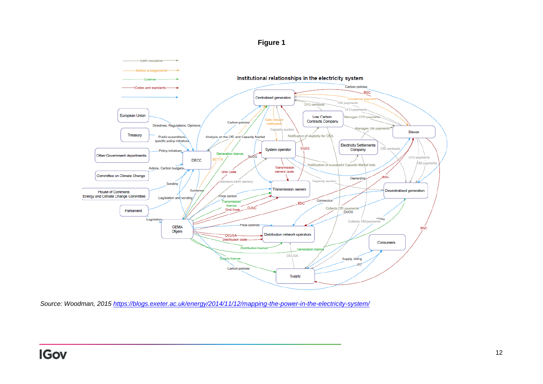



*Source: Woodman, 2015<https://blogs.exeter.ac.uk/energy/2014/11/12/mapping-the-power-in-the-electricity-system/>*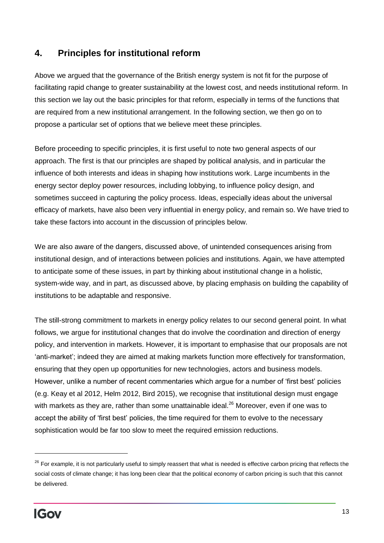## **4. Principles for institutional reform**

Above we argued that the governance of the British energy system is not fit for the purpose of facilitating rapid change to greater sustainability at the lowest cost, and needs institutional reform. In this section we lay out the basic principles for that reform, especially in terms of the functions that are required from a new institutional arrangement. In the following section, we then go on to propose a particular set of options that we believe meet these principles.

Before proceeding to specific principles, it is first useful to note two general aspects of our approach. The first is that our principles are shaped by political analysis, and in particular the influence of both interests and ideas in shaping how institutions work. Large incumbents in the energy sector deploy power resources, including lobbying, to influence policy design, and sometimes succeed in capturing the policy process. Ideas, especially ideas about the universal efficacy of markets, have also been very influential in energy policy, and remain so. We have tried to take these factors into account in the discussion of principles below.

We are also aware of the dangers, discussed above, of unintended consequences arising from institutional design, and of interactions between policies and institutions. Again, we have attempted to anticipate some of these issues, in part by thinking about institutional change in a holistic, system-wide way, and in part, as discussed above, by placing emphasis on building the capability of institutions to be adaptable and responsive.

The still-strong commitment to markets in energy policy relates to our second general point. In what follows, we argue for institutional changes that do involve the coordination and direction of energy policy, and intervention in markets. However, it is important to emphasise that our proposals are not 'anti-market'; indeed they are aimed at making markets function more effectively for transformation, ensuring that they open up opportunities for new technologies, actors and business models. However, unlike a number of recent commentaries which argue for a number of 'first best' policies (e.g. Keay et al 2012, Helm 2012, Bird 2015), we recognise that institutional design must engage with markets as they are, rather than some unattainable ideal.<sup>26</sup> Moreover, even if one was to accept the ability of 'first best' policies, the time required for them to evolve to the necessary sophistication would be far too slow to meet the required emission reductions.

 $\overline{a}$ 

<sup>&</sup>lt;sup>26</sup> For example, it is not particularly useful to simply reassert that what is needed is effective carbon pricing that reflects the social costs of climate change; it has long been clear that the political economy of carbon pricing is such that this cannot be delivered.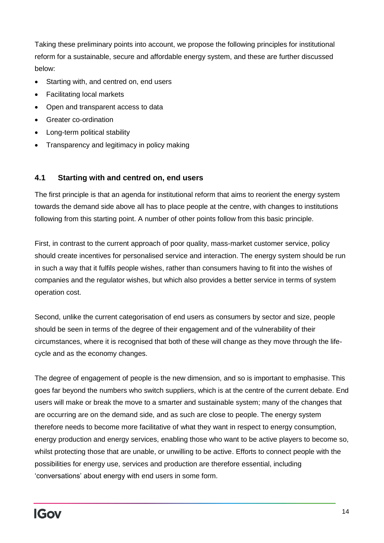Taking these preliminary points into account, we propose the following principles for institutional reform for a sustainable, secure and affordable energy system, and these are further discussed below:

- Starting with, and centred on, end users
- Facilitating local markets
- Open and transparent access to data
- Greater co-ordination
- Long-term political stability
- Transparency and legitimacy in policy making

#### **4.1 Starting with and centred on, end users**

The first principle is that an agenda for institutional reform that aims to reorient the energy system towards the demand side above all has to place people at the centre, with changes to institutions following from this starting point. A number of other points follow from this basic principle.

First, in contrast to the current approach of poor quality, mass-market customer service, policy should create incentives for personalised service and interaction. The energy system should be run in such a way that it fulfils people wishes, rather than consumers having to fit into the wishes of companies and the regulator wishes, but which also provides a better service in terms of system operation cost.

Second, unlike the current categorisation of end users as consumers by sector and size, people should be seen in terms of the degree of their engagement and of the vulnerability of their circumstances, where it is recognised that both of these will change as they move through the lifecycle and as the economy changes.

The degree of engagement of people is the new dimension, and so is important to emphasise. This goes far beyond the numbers who switch suppliers, which is at the centre of the current debate. End users will make or break the move to a smarter and sustainable system; many of the changes that are occurring are on the demand side, and as such are close to people. The energy system therefore needs to become more facilitative of what they want in respect to energy consumption, energy production and energy services, enabling those who want to be active players to become so, whilst protecting those that are unable, or unwilling to be active. Efforts to connect people with the possibilities for energy use, services and production are therefore essential, including 'conversations' about energy with end users in some form.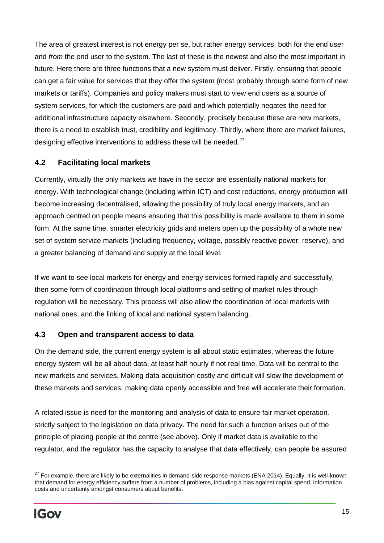The area of greatest interest is not energy per se, but rather energy services, both for the end user and *from* the end user to the system. The last of these is the newest and also the most important in future. Here there are three functions that a new system must deliver. Firstly, ensuring that people can get a fair value for services that they offer the system (most probably through some form of new markets or tariffs). Companies and policy makers must start to view end users as a source of system services, for which the customers are paid and which potentially negates the need for additional infrastructure capacity elsewhere. Secondly, precisely because these are new markets, there is a need to establish trust, credibility and legitimacy. Thirdly, where there are market failures, designing effective interventions to address these will be needed.<sup>27</sup>

#### **4.2 Facilitating local markets**

Currently, virtually the only markets we have in the sector are essentially national markets for energy. With technological change (including within ICT) and cost reductions, energy production will become increasing decentralised, allowing the possibility of truly local energy markets, and an approach centred on people means ensuring that this possibility is made available to them in some form. At the same time, smarter electricity grids and meters open up the possibility of a whole new set of system service markets (including frequency, voltage, possibly reactive power, reserve), and a greater balancing of demand and supply at the local level.

If we want to see local markets for energy and energy services formed rapidly and successfully, then some form of coordination through local platforms and setting of market rules through regulation will be necessary. This process will also allow the coordination of local markets with national ones, and the linking of local and national system balancing.

#### **4.3 Open and transparent access to data**

On the demand side, the current energy system is all about static estimates, whereas the future energy system will be all about data, at least half hourly if not real time. Data will be central to the new markets and services. Making data acquisition costly and difficult will slow the development of these markets and services; making data openly accessible and free will accelerate their formation.

A related issue is need for the monitoring and analysis of data to ensure fair market operation*,*  strictly subject to the legislation on data privacy. The need for such a function arises out of the principle of placing people at the centre (see above). Only if market data is available to the regulator, and the regulator has the capacity to analyse that data effectively, can people be assured

 $27$  For example, there are likely to be externalities in demand-side response markets (ENA 2014). Equally, it is well-known that demand for energy efficiency suffers from a number of problems, including a bias against capital spend, information costs and uncertainty amongst consumers about benefits.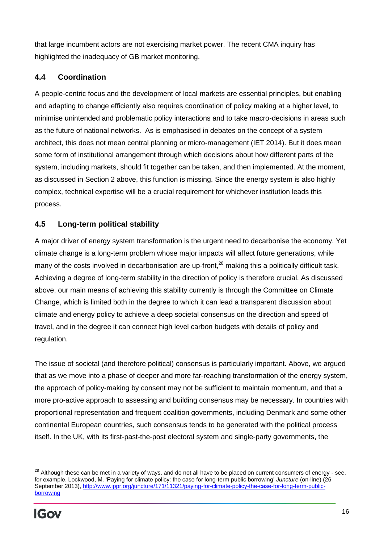that large incumbent actors are not exercising market power. The recent CMA inquiry has highlighted the inadequacy of GB market monitoring.

#### **4.4 Coordination**

A people-centric focus and the development of local markets are essential principles, but enabling and adapting to change efficiently also requires coordination of policy making at a higher level, to minimise unintended and problematic policy interactions and to take macro-decisions in areas such as the future of national networks. As is emphasised in debates on the concept of a system architect, this does not mean central planning or micro-management (IET 2014). But it does mean some form of institutional arrangement through which decisions about how different parts of the system, including markets, should fit together can be taken, and then implemented. At the moment, as discussed in Section 2 above, this function is missing. Since the energy system is also highly complex, technical expertise will be a crucial requirement for whichever institution leads this process.

### **4.5 Long-term political stability**

A major driver of energy system transformation is the urgent need to decarbonise the economy. Yet climate change is a long-term problem whose major impacts will affect future generations, while many of the costs involved in decarbonisation are up-front,<sup>28</sup> making this a politically difficult task. Achieving a degree of long-term stability in the direction of policy is therefore crucial. As discussed above, our main means of achieving this stability currently is through the Committee on Climate Change, which is limited both in the degree to which it can lead a transparent discussion about climate and energy policy to achieve a deep societal consensus on the direction and speed of travel, and in the degree it can connect high level carbon budgets with details of policy and regulation.

The issue of societal (and therefore political) consensus is particularly important. Above, we argued that as we move into a phase of deeper and more far-reaching transformation of the energy system, the approach of policy-making by consent may not be sufficient to maintain momentum, and that a more pro-active approach to assessing and building consensus may be necessary. In countries with proportional representation and frequent coalition governments, including Denmark and some other continental European countries, such consensus tends to be generated with the political process itself. In the UK, with its first-past-the-post electoral system and single-party governments, the

 $\overline{a}$ 

<sup>&</sup>lt;sup>28</sup> Although these can be met in a variety of ways, and do not all have to be placed on current consumers of energy - see, for example, Lockwood, M. 'Paying for climate policy: the case for long-term public borrowing' *Juncture* (on-line) (26 September 2013), [http://www.ippr.org/juncture/171/11321/paying-for-climate-policy-the-case-for-long-term-public](http://www.ippr.org/juncture/171/11321/paying-for-climate-policy-the-case-for-long-term-public-borrowing)[borrowing](http://www.ippr.org/juncture/171/11321/paying-for-climate-policy-the-case-for-long-term-public-borrowing)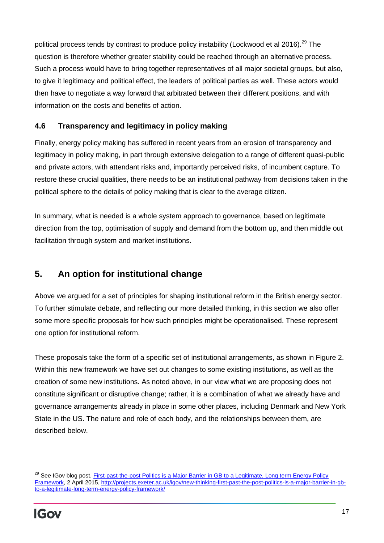political process tends by contrast to produce policy instability (Lockwood et al 2016).<sup>29</sup> The question is therefore whether greater stability could be reached through an alternative process. Such a process would have to bring together representatives of all major societal groups, but also, to give it legitimacy and political effect, the leaders of political parties as well. These actors would then have to negotiate a way forward that arbitrated between their different positions, and with information on the costs and benefits of action.

#### **4.6 Transparency and legitimacy in policy making**

Finally, energy policy making has suffered in recent years from an erosion of transparency and legitimacy in policy making, in part through extensive delegation to a range of different quasi-public and private actors, with attendant risks and, importantly perceived risks, of incumbent capture. To restore these crucial qualities, there needs to be an institutional pathway from decisions taken in the political sphere to the details of policy making that is clear to the average citizen.

In summary, what is needed is a whole system approach to governance, based on legitimate direction from the top, optimisation of supply and demand from the bottom up, and then middle out facilitation through system and market institutions.

# **5. An option for institutional change**

Above we argued for a set of principles for shaping institutional reform in the British energy sector. To further stimulate debate, and reflecting our more detailed thinking, in this section we also offer some more specific proposals for how such principles might be operationalised. These represent one option for institutional reform.

These proposals take the form of a specific set of institutional arrangements, as shown in Figure 2. Within this new framework we have set out changes to some existing institutions, as well as the creation of some new institutions. As noted above, in our view what we are proposing does not constitute significant or disruptive change; rather, it is a combination of what we already have and governance arrangements already in place in some other places, including Denmark and New York State in the US. The nature and role of each body, and the relationships between them, are described below.

<sup>&</sup>lt;sup>29</sup> See IGov blog post, *First-past-the-post Politics is a Major Barrier in GB to a Legitimate, Long term Energy Policy* [Framework,](http://projects.exeter.ac.uk/igov/new-thinking-first-past-the-post-politics-is-a-major-barrier-in-gb-to-a-legitimate-long-term-energy-policy-framework/) 2 April 2015, [http://projects.exeter.ac.uk/igov/new-thinking-first-past-the-post-politics-is-a-major-barrier-in-gb](http://projects.exeter.ac.uk/igov/new-thinking-first-past-the-post-politics-is-a-major-barrier-in-gb-to-a-legitimate-long-term-energy-policy-framework/)[to-a-legitimate-long-term-energy-policy-framework/](http://projects.exeter.ac.uk/igov/new-thinking-first-past-the-post-politics-is-a-major-barrier-in-gb-to-a-legitimate-long-term-energy-policy-framework/)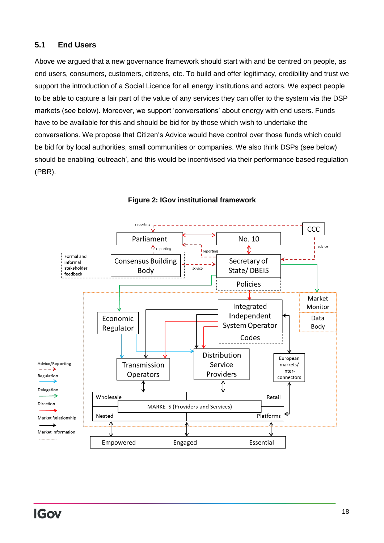#### **5.1 End Users**

Above we argued that a new governance framework should start with and be centred on people, as end users, consumers, customers, citizens, etc. To build and offer legitimacy, credibility and trust we support the introduction of a Social Licence for all energy institutions and actors. We expect people to be able to capture a fair part of the value of any services they can offer to the system via the DSP markets (see below). Moreover, we support 'conversations' about energy with end users. Funds have to be available for this and should be bid for by those which wish to undertake the conversations. We propose that Citizen's Advice would have control over those funds which could be bid for by local authorities, small communities or companies. We also think DSPs (see below) should be enabling 'outreach', and this would be incentivised via their performance based regulation (PBR).



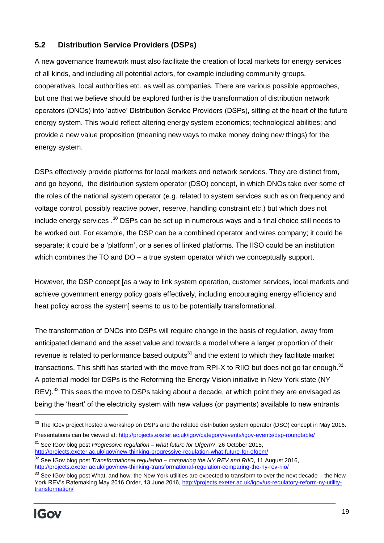#### **5.2 Distribution Service Providers (DSPs)**

A new governance framework must also facilitate the creation of local markets for energy services of all kinds, and including all potential actors, for example including community groups, cooperatives, local authorities etc. as well as companies. There are various possible approaches, but one that we believe should be explored further is the transformation of distribution network operators (DNOs) into 'active' Distribution Service Providers (DSPs), sitting at the heart of the future energy system. This would reflect altering energy system economics; technological abilities; and provide a new value proposition (meaning new ways to make money doing new things) for the energy system.

DSPs effectively provide platforms for local markets and network services. They are distinct from, and go beyond, the distribution system operator (DSO) concept, in which DNOs take over some of the roles of the national system operator (e.g. related to system services such as on frequency and voltage control, possibly reactive power, reserve, handling constraint etc.) but which does not include energy services .<sup>30</sup> DSPs can be set up in numerous ways and a final choice still needs to be worked out. For example, the DSP can be a combined operator and wires company; it could be separate; it could be a 'platform', or a series of linked platforms. The IISO could be an institution which combines the TO and DO – a true system operator which we conceptually support.

However, the DSP concept [as a way to link system operation, customer services, local markets and achieve government energy policy goals effectively, including encouraging energy efficiency and heat policy across the system] seems to us to be potentially transformational.

The transformation of DNOs into DSPs will require change in the basis of regulation, away from anticipated demand and the asset value and towards a model where a larger proportion of their revenue is related to performance based outputs $31$  and the extent to which they facilitate market transactions. This shift has started with the move from RPI-X to RIIO but does not go far enough. $32$ A potential model for DSPs is the Reforming the Energy Vision initiative in New York state (NY REV).<sup>33</sup> This sees the move to DSPs taking about a decade, at which point they are envisaged as being the 'heart' of the electricity system with new values (or payments) available to new entrants

 $\overline{a}$ 

 $30$  The IGov project hosted a workshop on DSPs and the related distribution system operator (DSO) concept in May 2016. Presentations can be viewed at:<http://projects.exeter.ac.uk/igov/category/events/igov-events/dsp-roundtable/>

<sup>31</sup> See IGov blog post *Progressive regulation – what future for Ofgem?*, 26 October 2015, <http://projects.exeter.ac.uk/igov/new-thinking-progressive-regulation-what-future-for-ofgem/>

<sup>32</sup> See IGov blog post *Transformational regulation – comparing the NY REV and RIIO*, 11 August 2016, <http://projects.exeter.ac.uk/igov/new-thinking-transformational-regulation-comparing-the-ny-rev-riio/>

<sup>&</sup>lt;sup>33</sup> See IGov blog post What, and how, the New York utilities are expected to transform to over the next decade – the New York REV's Ratemaking May 2016 Order, 13 June 2016, [http://projects.exeter.ac.uk/igov/us-regulatory-reform-ny-utility](http://projects.exeter.ac.uk/igov/us-regulatory-reform-ny-utility-transformation/)[transformation/](http://projects.exeter.ac.uk/igov/us-regulatory-reform-ny-utility-transformation/)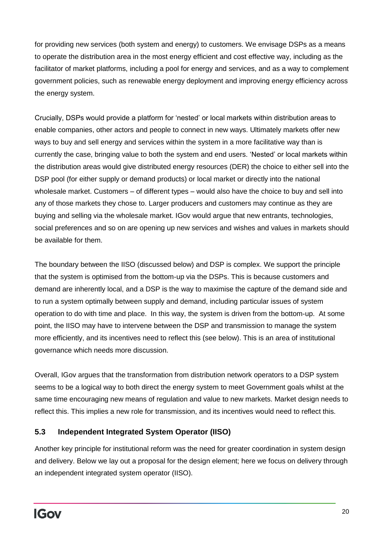for providing new services (both system and energy) to customers. We envisage DSPs as a means to operate the distribution area in the most energy efficient and cost effective way, including as the facilitator of market platforms, including a pool for energy and services, and as a way to complement government policies, such as renewable energy deployment and improving energy efficiency across the energy system.

Crucially, DSPs would provide a platform for 'nested' or local markets within distribution areas to enable companies, other actors and people to connect in new ways. Ultimately markets offer new ways to buy and sell energy and services within the system in a more facilitative way than is currently the case, bringing value to both the system and end users. 'Nested' or local markets within the distribution areas would give distributed energy resources (DER) the choice to either sell into the DSP pool (for either supply or demand products) or local market or directly into the national wholesale market. Customers – of different types – would also have the choice to buy and sell into any of those markets they chose to. Larger producers and customers may continue as they are buying and selling via the wholesale market. IGov would argue that new entrants, technologies, social preferences and so on are opening up new services and wishes and values in markets should be available for them.

The boundary between the IISO (discussed below) and DSP is complex. We support the principle that the system is optimised from the bottom-up via the DSPs. This is because customers and demand are inherently local, and a DSP is the way to maximise the capture of the demand side and to run a system optimally between supply and demand, including particular issues of system operation to do with time and place. In this way, the system is driven from the bottom-up. At some point, the IISO may have to intervene between the DSP and transmission to manage the system more efficiently, and its incentives need to reflect this (see below). This is an area of institutional governance which needs more discussion.

Overall, IGov argues that the transformation from distribution network operators to a DSP system seems to be a logical way to both direct the energy system to meet Government goals whilst at the same time encouraging new means of regulation and value to new markets. Market design needs to reflect this. This implies a new role for transmission, and its incentives would need to reflect this.

#### **5.3 Independent Integrated System Operator (IISO)**

Another key principle for institutional reform was the need for greater coordination in system design and delivery. Below we lay out a proposal for the design element; here we focus on delivery through an independent integrated system operator (IISO).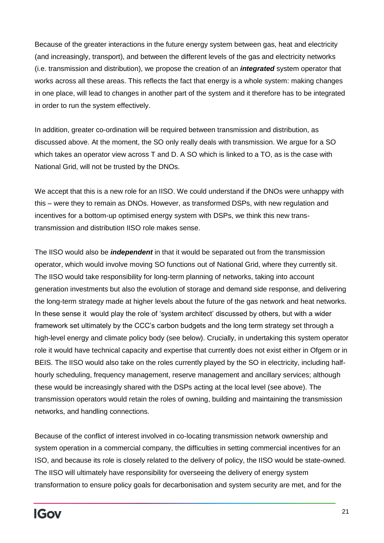Because of the greater interactions in the future energy system between gas, heat and electricity (and increasingly, transport), and between the different levels of the gas and electricity networks (i.e. transmission and distribution), we propose the creation of an *integrated* system operator that works across all these areas. This reflects the fact that energy is a whole system: making changes in one place, will lead to changes in another part of the system and it therefore has to be integrated in order to run the system effectively.

In addition, greater co-ordination will be required between transmission and distribution, as discussed above. At the moment, the SO only really deals with transmission. We argue for a SO which takes an operator view across T and D. A SO which is linked to a TO, as is the case with National Grid, will not be trusted by the DNOs.

We accept that this is a new role for an IISO. We could understand if the DNOs were unhappy with this – were they to remain as DNOs. However, as transformed DSPs, with new regulation and incentives for a bottom-up optimised energy system with DSPs, we think this new transtransmission and distribution IISO role makes sense.

The IISO would also be *independent* in that it would be separated out from the transmission operator, which would involve moving SO functions out of National Grid, where they currently sit. The IISO would take responsibility for long-term planning of networks, taking into account generation investments but also the evolution of storage and demand side response, and delivering the long-term strategy made at higher levels about the future of the gas network and heat networks. In these sense it would play the role of 'system architect' discussed by others, but with a wider framework set ultimately by the CCC's carbon budgets and the long term strategy set through a high-level energy and climate policy body (see below). Crucially, in undertaking this system operator role it would have technical capacity and expertise that currently does not exist either in Ofgem or in BEIS. The IISO would also take on the roles currently played by the SO in electricity, including halfhourly scheduling, frequency management, reserve management and ancillary services; although these would be increasingly shared with the DSPs acting at the local level (see above). The transmission operators would retain the roles of owning, building and maintaining the transmission networks, and handling connections.

Because of the conflict of interest involved in co-locating transmission network ownership and system operation in a commercial company, the difficulties in setting commercial incentives for an ISO, and because its role is closely related to the delivery of policy, the IISO would be state-owned. The IISO will ultimately have responsibility for overseeing the delivery of energy system transformation to ensure policy goals for decarbonisation and system security are met, and for the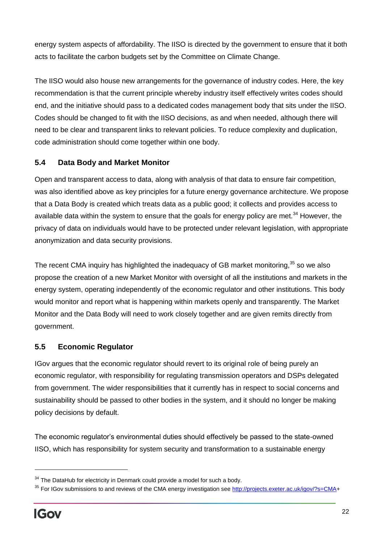energy system aspects of affordability. The IISO is directed by the government to ensure that it both acts to facilitate the carbon budgets set by the Committee on Climate Change.

The IISO would also house new arrangements for the governance of industry codes. Here, the key recommendation is that the current principle whereby industry itself effectively writes codes should end, and the initiative should pass to a dedicated codes management body that sits under the IISO. Codes should be changed to fit with the IISO decisions, as and when needed, although there will need to be clear and transparent links to relevant policies. To reduce complexity and duplication, code administration should come together within one body.

#### **5.4 Data Body and Market Monitor**

Open and transparent access to data, along with analysis of that data to ensure fair competition, was also identified above as key principles for a future energy governance architecture. We propose that a Data Body is created which treats data as a public good; it collects and provides access to available data within the system to ensure that the goals for energy policy are met.<sup>34</sup> However, the privacy of data on individuals would have to be protected under relevant legislation, with appropriate anonymization and data security provisions.

The recent CMA inquiry has highlighted the inadequacy of GB market monitoring.<sup>35</sup> so we also propose the creation of a new Market Monitor with oversight of all the institutions and markets in the energy system, operating independently of the economic regulator and other institutions. This body would monitor and report what is happening within markets openly and transparently. The Market Monitor and the Data Body will need to work closely together and are given remits directly from government.

#### **5.5 Economic Regulator**

IGov argues that the economic regulator should revert to its original role of being purely an economic regulator, with responsibility for regulating transmission operators and DSPs delegated from government. The wider responsibilities that it currently has in respect to social concerns and sustainability should be passed to other bodies in the system, and it should no longer be making policy decisions by default.

The economic regulator's environmental duties should effectively be passed to the state-owned IISO, which has responsibility for system security and transformation to a sustainable energy

 $\overline{a}$ 

 $34$  The DataHub for electricity in Denmark could provide a model for such a body.

<sup>&</sup>lt;sup>35</sup> For IGov submissions to and reviews of the CMA energy investigation see [http://projects.exeter.ac.uk/igov/?s=CMA+](http://projects.exeter.ac.uk/igov/?s=CMA)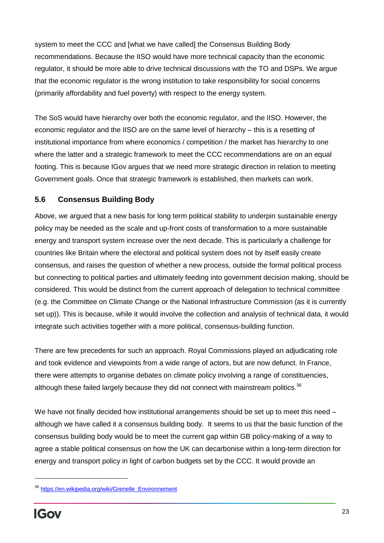system to meet the CCC and [what we have called] the Consensus Building Body recommendations. Because the IISO would have more technical capacity than the economic regulator, it should be more able to drive technical discussions with the TO and DSPs. We argue that the economic regulator is the wrong institution to take responsibility for social concerns (primarily affordability and fuel poverty) with respect to the energy system.

The SoS would have hierarchy over both the economic regulator, and the IISO. However, the economic regulator and the IISO are on the same level of hierarchy – this is a resetting of institutional importance from where economics / competition / the market has hierarchy to one where the latter and a strategic framework to meet the CCC recommendations are on an equal footing. This is because IGov argues that we need more strategic direction in relation to meeting Government goals. Once that strategic framework is established, then markets can work.

### **5.6 Consensus Building Body**

Above, we argued that a new basis for long term political stability to underpin sustainable energy policy may be needed as the scale and up-front costs of transformation to a more sustainable energy and transport system increase over the next decade. This is particularly a challenge for countries like Britain where the electoral and political system does not by itself easily create consensus, and raises the question of whether a new process, outside the formal political process but connecting to political parties and ultimately feeding into government decision making, should be considered. This would be distinct from the current approach of delegation to technical committee (e.g. the Committee on Climate Change or the National Infrastructure Commission (as it is currently set up)). This is because, while it would involve the collection and analysis of technical data, it would integrate such activities together with a more political, consensus-building function.

There are few precedents for such an approach. Royal Commissions played an adjudicating role and took evidence and viewpoints from a wide range of actors, but are now defunct. In France, there were attempts to organise debates on climate policy involving a range of constituencies, although these failed largely because they did not connect with mainstream politics. $36$ 

We have not finally decided how institutional arrangements should be set up to meet this need although we have called it a consensus building body. It seems to us that the basic function of the consensus building body would be to meet the current gap within GB policy-making of a way to agree a stable political consensus on how the UK can decarbonise within a long-term direction for energy and transport policy in light of carbon budgets set by the CCC. It would provide an

<sup>36</sup> [https://en.wikipedia.org/wiki/Grenelle\\_Environnement](https://en.wikipedia.org/wiki/Grenelle_Environnement)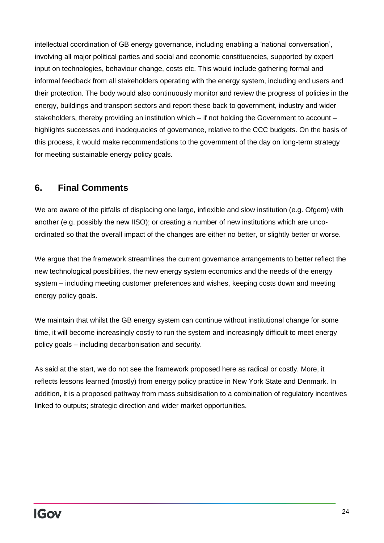intellectual coordination of GB energy governance, including enabling a 'national conversation', involving all major political parties and social and economic constituencies, supported by expert input on technologies, behaviour change, costs etc. This would include gathering formal and informal feedback from all stakeholders operating with the energy system, including end users and their protection. The body would also continuously monitor and review the progress of policies in the energy, buildings and transport sectors and report these back to government, industry and wider stakeholders, thereby providing an institution which – if not holding the Government to account – highlights successes and inadequacies of governance, relative to the CCC budgets. On the basis of this process, it would make recommendations to the government of the day on long-term strategy for meeting sustainable energy policy goals.

## **6. Final Comments**

We are aware of the pitfalls of displacing one large, inflexible and slow institution (e.g. Ofgem) with another (e.g. possibly the new IISO); or creating a number of new institutions which are uncoordinated so that the overall impact of the changes are either no better, or slightly better or worse.

We argue that the framework streamlines the current governance arrangements to better reflect the new technological possibilities, the new energy system economics and the needs of the energy system – including meeting customer preferences and wishes, keeping costs down and meeting energy policy goals.

We maintain that whilst the GB energy system can continue without institutional change for some time, it will become increasingly costly to run the system and increasingly difficult to meet energy policy goals – including decarbonisation and security.

As said at the start, we do not see the framework proposed here as radical or costly. More, it reflects lessons learned (mostly) from energy policy practice in New York State and Denmark. In addition, it is a proposed pathway from mass subsidisation to a combination of regulatory incentives linked to outputs; strategic direction and wider market opportunities.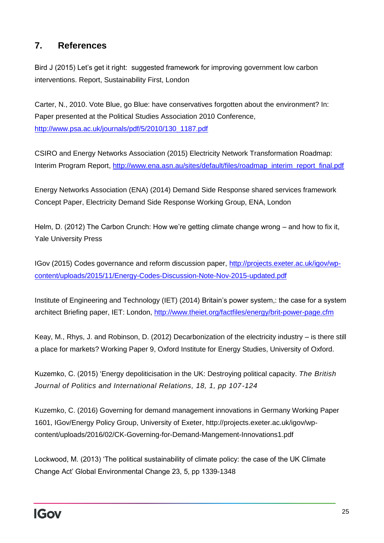## **7. References**

Bird J (2015) Let's get it right: suggested framework for improving government low carbon interventions. Report, Sustainability First, London

Carter, N., 2010. Vote Blue, go Blue: have conservatives forgotten about the environment? In: Paper presented at the Political Studies Association 2010 Conference, [http://www.psa.ac.uk/journals/pdf/5/2010/130\\_1187.pdf](http://www.psa.ac.uk/journals/pdf/5/2010/130_1187.pdf)

CSIRO and Energy Networks Association (2015) Electricity Network Transformation Roadmap: Interim Program Report, [http://www.ena.asn.au/sites/default/files/roadmap\\_interim\\_report\\_final.pdf](http://www.ena.asn.au/sites/default/files/roadmap_interim_report_final.pdf)

Energy Networks Association (ENA) (2014) Demand Side Response shared services framework Concept Paper, Electricity Demand Side Response Working Group, ENA, London

Helm, D. (2012) The Carbon Crunch: How we're getting climate change wrong – and how to fix it, Yale University Press

IGov (2015) Codes governance and reform discussion paper, [http://projects.exeter.ac.uk/igov/wp](http://projects.exeter.ac.uk/igov/wp-content/uploads/2015/11/Energy-Codes-Discussion-Note-Nov-2015-updated.pdf)[content/uploads/2015/11/Energy-Codes-Discussion-Note-Nov-2015-updated.pdf](http://projects.exeter.ac.uk/igov/wp-content/uploads/2015/11/Energy-Codes-Discussion-Note-Nov-2015-updated.pdf)

Institute of Engineering and Technology (IET) (2014) Britain's power system,: the case for a system architect Briefing paper, IET: London,<http://www.theiet.org/factfiles/energy/brit-power-page.cfm>

Keay, M., Rhys, J. and Robinson, D. (2012) Decarbonization of the electricity industry – is there still a place for markets? Working Paper 9, Oxford Institute for Energy Studies, University of Oxford.

Kuzemko, C. (2015) 'Energy depoliticisation in the UK: Destroying political capacity. *The British Journal of Politics and International Relations, 18, 1, pp 107-124*

Kuzemko, C. (2016) Governing for demand management innovations in Germany Working Paper 1601, IGov/Energy Policy Group, University of Exeter, http://projects.exeter.ac.uk/igov/wpcontent/uploads/2016/02/CK-Governing-for-Demand-Mangement-Innovations1.pdf

Lockwood, M. (2013) 'The political sustainability of climate policy: the case of the UK Climate Change Act' Global Environmental Change 23, 5, pp 1339-1348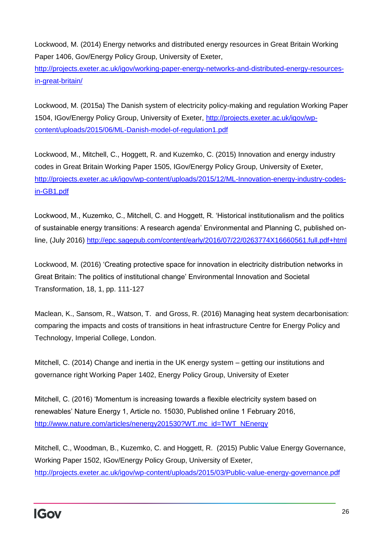Lockwood, M. (2014) Energy networks and distributed energy resources in Great Britain Working Paper 1406, Gov/Energy Policy Group, University of Exeter,

[http://projects.exeter.ac.uk/igov/working-paper-energy-networks-and-distributed-energy-resources](http://projects.exeter.ac.uk/igov/working-paper-energy-networks-and-distributed-energy-resources-in-great-britain/)[in-great-britain/](http://projects.exeter.ac.uk/igov/working-paper-energy-networks-and-distributed-energy-resources-in-great-britain/)

Lockwood, M. (2015a) The Danish system of electricity policy-making and regulation Working Paper 1504, IGov/Energy Policy Group, University of Exeter, [http://projects.exeter.ac.uk/igov/wp](http://projects.exeter.ac.uk/igov/wp-content/uploads/2015/06/ML-Danish-model-of-regulation1.pdf)[content/uploads/2015/06/ML-Danish-model-of-regulation1.pdf](http://projects.exeter.ac.uk/igov/wp-content/uploads/2015/06/ML-Danish-model-of-regulation1.pdf)

Lockwood, M., Mitchell, C., Hoggett, R. and Kuzemko, C. (2015) Innovation and energy industry codes in Great Britain Working Paper 1505, IGov/Energy Policy Group, University of Exeter, [http://projects.exeter.ac.uk/igov/wp-content/uploads/2015/12/ML-Innovation-energy-industry-codes](http://projects.exeter.ac.uk/igov/wp-content/uploads/2015/12/ML-Innovation-energy-industry-codes-in-GB1.pdf)[in-GB1.pdf](http://projects.exeter.ac.uk/igov/wp-content/uploads/2015/12/ML-Innovation-energy-industry-codes-in-GB1.pdf)

Lockwood, M., Kuzemko, C., Mitchell, C. and Hoggett, R. 'Historical institutionalism and the politics of sustainable energy transitions: A research agenda' Environmental and Planning C, published online, (July 2016)<http://epc.sagepub.com/content/early/2016/07/22/0263774X16660561.full.pdf+html>

Lockwood, M. (2016) 'Creating protective space for innovation in electricity distribution networks in Great Britain: The politics of institutional change' Environmental Innovation and Societal Transformation, 18, 1, pp. 111-127

Maclean, K., Sansom, R., Watson, T. and Gross, R. (2016) Managing heat system decarbonisation: comparing the impacts and costs of transitions in heat infrastructure Centre for Energy Policy and Technology, Imperial College, London.

Mitchell, C. (2014) Change and inertia in the UK energy system – getting our institutions and governance right Working Paper 1402, Energy Policy Group, University of Exeter

Mitchell, C. (2016) 'Momentum is increasing towards a flexible electricity system based on renewables' Nature Energy 1, Article no. 15030, Published online 1 February 2016, [http://www.nature.com/articles/nenergy201530?WT.mc\\_id=TWT\\_NEnergy](http://www.nature.com/articles/nenergy201530?WT.mc_id=TWT_NEnergy)

Mitchell, C., Woodman, B., Kuzemko, C. and Hoggett, R. (2015) Public Value Energy Governance, Working Paper 1502, IGov/Energy Policy Group, University of Exeter, <http://projects.exeter.ac.uk/igov/wp-content/uploads/2015/03/Public-value-energy-governance.pdf>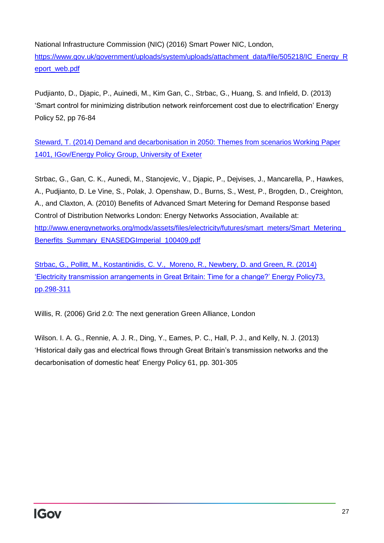National Infrastructure Commission (NIC) (2016) Smart Power NIC, London, [https://www.gov.uk/government/uploads/system/uploads/attachment\\_data/file/505218/IC\\_Energy\\_R](https://www.gov.uk/government/uploads/system/uploads/attachment_data/file/505218/IC_Energy_Report_web.pdf) [eport\\_web.pdf](https://www.gov.uk/government/uploads/system/uploads/attachment_data/file/505218/IC_Energy_Report_web.pdf)

Pudjianto, D., Djapic, P., Auinedi, M., Kim Gan, C., Strbac, G., Huang, S. and Infield, D. (2013) 'Smart control for minimizing distribution network reinforcement cost due to electrification' Energy Policy 52, pp 76-84

Steward, T. (2014) Demand and decarbonisation in 2050: Themes from scenarios Working Paper 1401, IGov/Energy Policy Group, University of Exeter

Strbac, G., Gan, C. K., Aunedi, M., Stanojevic, V., Djapic, P., Dejvises, J., Mancarella, P., Hawkes, A., Pudjianto, D. Le Vine, S., Polak, J. Openshaw, D., Burns, S., West, P., Brogden, D., Creighton, A., and Claxton, A. (2010) Benefits of Advanced Smart Metering for Demand Response based Control of Distribution Networks London: Energy Networks Association, Available at: http://www.energynetworks.org/modx/assets/files/electricity/futures/smart\_meters/Smart\_Metering [Benerfits\\_Summary\\_ENASEDGImperial\\_100409.pdf](http://www.energynetworks.org/modx/assets/files/electricity/futures/smart_meters/Smart_Metering_Benerfits_Summary_ENASEDGImperial_100409.pdf)

Strbac, G., Pollitt, M., Kostantinidis, C. V., Moreno, R., Newbery, D. and Green, R. (2014) 'Electricity transmission arrangements in Great Britain: Time for a change?' Energy Policy73, pp.298-311

Willis, R. (2006) Grid 2.0: The next generation Green Alliance, London

Wilson. I. A. G., Rennie, A. J. R., Ding, Y., Eames, P. C., Hall, P. J., and Kelly, N. J. (2013) 'Historical daily gas and electrical flows through Great Britain's transmission networks and the decarbonisation of domestic heat' Energy Policy 61, pp. 301-305